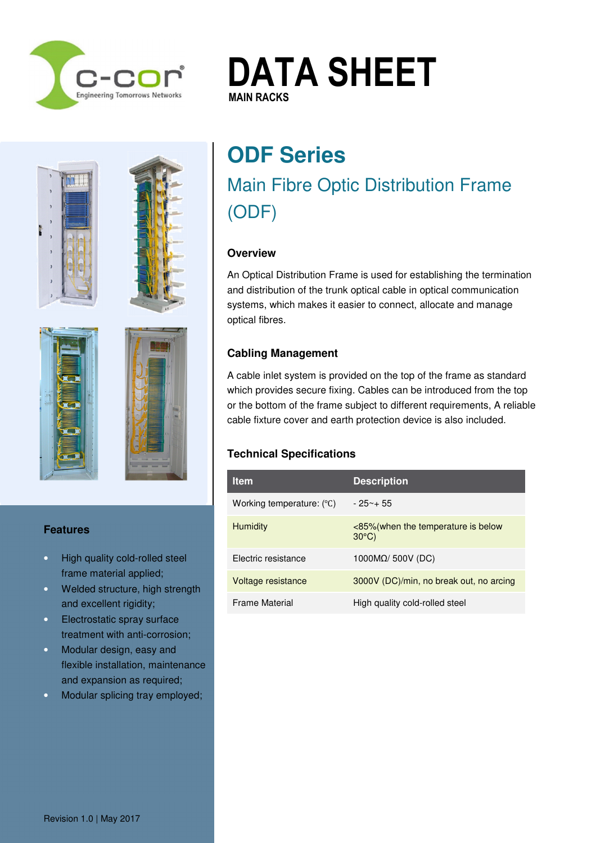

# **DATA SHEET MAIN RACKS MAIN RACKS**







### **Features**

- High quality cold-rolled steel frame material applied;
- Welded structure, high strength and excellent rigidity;
- Electrostatic spray surface treatment with anti-corrosion;
- Modular design, easy and flexible installation, maintenance and expansion as required;
- Modular splicing tray employed;

# **ODF Series**  Main Fibre Optic Distribution Frame (ODF)

### **Overview**

An Optical Distribution Frame is used for establishing the termination and distribution of the trunk optical cable in optical communication systems, which makes it easier to connect, allocate and manage optical fibres.

# **Cabling Management**

A cable inlet system is provided on the top of the frame as standard which provides secure fixing. Cables can be introduced from the top or the bottom of the frame subject to different requirements, A reliable cable fixture cover and earth protection device is also included.

# **Technical Specifications**

| <b>Item</b>                        | <b>Description</b>                                     |
|------------------------------------|--------------------------------------------------------|
| Working temperature: $(^{\circ}C)$ | $-25 - +55$                                            |
| <b>Humidity</b>                    | <85% (when the temperature is below<br>$30^{\circ}$ C) |
| Electric resistance                | 1000 $M\Omega$ / 500V (DC)                             |
| Voltage resistance                 | 3000V (DC)/min, no break out, no arcing                |
| <b>Frame Material</b>              | High quality cold-rolled steel                         |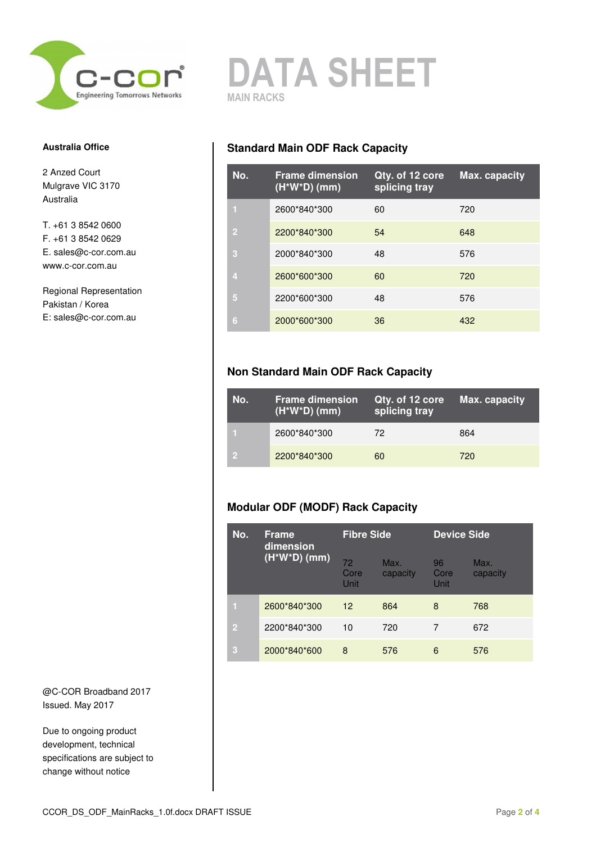

# **DATA SHEET MAIN RACKS**

#### **Australia Office**

2 Anzed Court Mulgrave VIC 3170 Australia

T. +61 3 8542 0600 F. +61 3 8542 0629 E. sales@c-cor.com.au www.c-cor.com.au

Regional Representation Pakistan / Korea E: sales@c-cor.com.au

@C-COR Broadband 2017 Issued. May 2017

Due to ongoing product development, technical specifications are subject to change without notice

### **Standard Main ODF Rack Capacity**

| No.            | <b>Frame dimension</b><br>$(H^*W^*D)$ (mm) | Qty. of 12 core<br>splicing tray | Max. capacity |
|----------------|--------------------------------------------|----------------------------------|---------------|
|                | 2600*840*300                               | 60                               | 720           |
| $\overline{2}$ | 2200*840*300                               | 54                               | 648           |
| З              | 2000*840*300                               | 48                               | 576           |
| 4              | 2600*600*300                               | 60                               | 720           |
| 6              | 2200*600*300                               | 48                               | 576           |
| 6              | 2000*600*300                               | 36                               | 432           |

## **Non Standard Main ODF Rack Capacity**

| No. | <b>Frame dimension</b><br>$(H^*W^*D)$ (mm) | Qty. of 12 core<br>splicing tray | Max. capacity |
|-----|--------------------------------------------|----------------------------------|---------------|
|     | 2600*840*300                               | 72.                              | 864           |
|     | 2200*840*300                               | 60                               | 720           |

# **Modular ODF (MODF) Rack Capacity**

| No.            | <b>Frame</b><br>dimension<br>$(H^*W^*D)$ (mm) | <b>Fibre Side</b>         |                  | <b>Device Side</b> |                  |
|----------------|-----------------------------------------------|---------------------------|------------------|--------------------|------------------|
|                |                                               | 72<br>Core<br><b>Unit</b> | Max.<br>capacity | 96<br>Core<br>Unit | Max.<br>capacity |
| п              | 2600*840*300                                  | $12 \overline{ }$         | 864              | 8                  | 768              |
| $\overline{2}$ | 2200*840*300                                  | 10                        | 720              | 7                  | 672              |
| 3              | 2000*840*600                                  | 8                         | 576              | 6                  | 576              |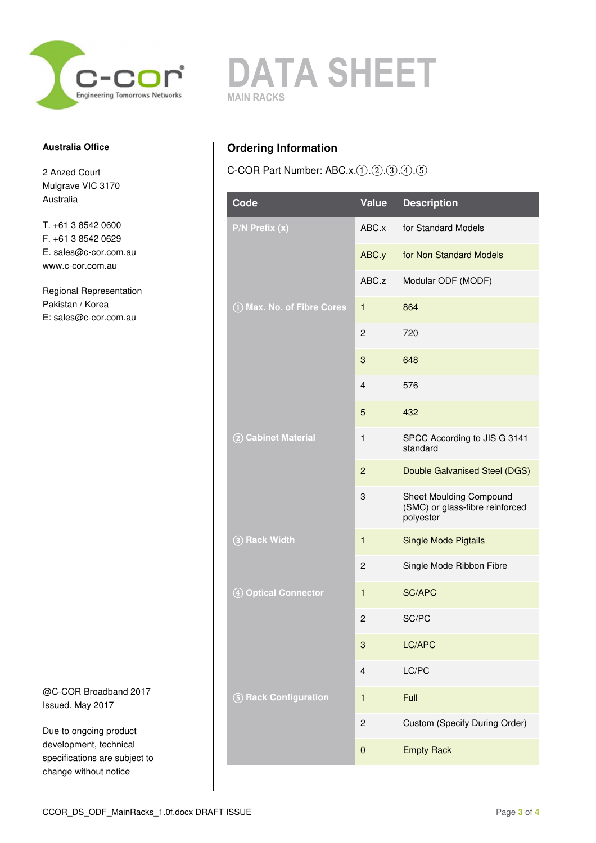

#### **Australia Office**

2 Anzed Court Mulgrave VIC 3170 Australia

T. +61 3 8542 0600 F. +61 3 8542 0629 E. sales@c-cor.com.au www.c-cor.com.au

Regional Representation Pakistan / Korea E: sales@c-cor.com.au

@C-COR Broadband 2017 Issued. May 2017

Due to ongoing product development, technical specifications are subject to change without notice



# **Ordering Information**

C-COR Part Number: ABC.x.①.②.③.④.⑤

| Code                       | <b>Value</b>            | <b>Description</b>                                                             |
|----------------------------|-------------------------|--------------------------------------------------------------------------------|
| $P/N$ Prefix $(x)$         | ABC.x                   | for Standard Models                                                            |
|                            | ABC.y                   | for Non Standard Models                                                        |
|                            | ABC.z                   | Modular ODF (MODF)                                                             |
| 1) Max. No. of Fibre Cores | 1                       | 864                                                                            |
|                            | $\overline{2}$          | 720                                                                            |
|                            | 3                       | 648                                                                            |
|                            | 4                       | 576                                                                            |
|                            | 5                       | 432                                                                            |
| 2 Cabinet Material         | 1                       | SPCC According to JIS G 3141<br>standard                                       |
|                            | $\overline{2}$          | Double Galvanised Steel (DGS)                                                  |
|                            | 3                       | <b>Sheet Moulding Compound</b><br>(SMC) or glass-fibre reinforced<br>polyester |
| 3 Rack Width               | 1                       | <b>Single Mode Pigtails</b>                                                    |
|                            | $\overline{2}$          | Single Mode Ribbon Fibre                                                       |
| 4 Optical Connector        | $\mathbf{1}$            | <b>SC/APC</b>                                                                  |
|                            | $\overline{c}$          | SC/PC                                                                          |
|                            | 3                       | LC/APC                                                                         |
|                            | $\overline{\mathbf{4}}$ | LC/PC                                                                          |
| 5 Rack Configuration       | 1                       | Full                                                                           |
|                            | $\overline{c}$          | Custom (Specify During Order)                                                  |
|                            | 0                       | <b>Empty Rack</b>                                                              |